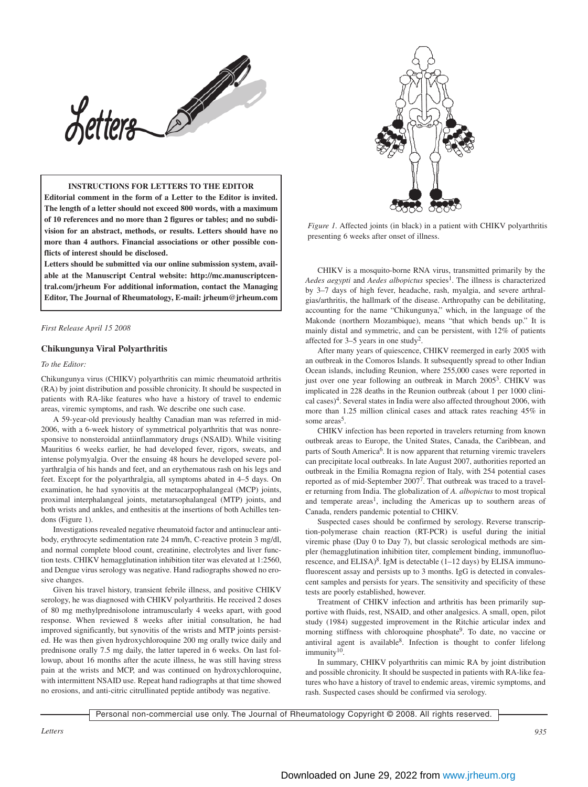

## **INSTRUCTIONS FOR LETTERS TO THE EDITOR**

**Editorial comment in the form of a Letter to the Editor is invited. The length of a letter should not exceed 800 words, with a maximum of 10 references and no more than 2 figures or tables; and no subdivision for an abstract, methods, or results. Letters should have no more than 4 authors. Financial associations or other possible conflicts of interest should be disclosed.**

**Letters should be submitted via our online submission system, available at the Manuscript Central website: http://mc.manuscriptcentral.com/jrheum For additional information, contact the Managing Editor, The Journal of Rheumatology, E-mail: jrheum@jrheum.com**

*First Release April 15 2008*

#### **Chikungunya Viral Polyarthritis**

#### *To the Editor:*

Chikungunya virus (CHIKV) polyarthritis can mimic rheumatoid arthritis (RA) by joint distribution and possible chronicity. It should be suspected in patients with RA-like features who have a history of travel to endemic areas, viremic symptoms, and rash. We describe one such case.

A 59-year-old previously healthy Canadian man was referred in mid-2006, with a 6-week history of symmetrical polyarthritis that was nonresponsive to nonsteroidal antiinflammatory drugs (NSAID). While visiting Mauritius 6 weeks earlier, he had developed fever, rigors, sweats, and intense polymyalgia. Over the ensuing 48 hours he developed severe polyarthralgia of his hands and feet, and an erythematous rash on his legs and feet. Except for the polyarthralgia, all symptoms abated in 4–5 days. On examination, he had synovitis at the metacarpophalangeal (MCP) joints, proximal interphalangeal joints, metatarsophalangeal (MTP) joints, and both wrists and ankles, and enthesitis at the insertions of both Achilles tendons (Figure 1).

Investigations revealed negative rheumatoid factor and antinuclear antibody, erythrocyte sedimentation rate 24 mm/h, C-reactive protein 3 mg/dl, and normal complete blood count, creatinine, electrolytes and liver function tests. CHIKV hemagglutination inhibition titer was elevated at 1:2560, and Dengue virus serology was negative. Hand radiographs showed no erosive changes.

Given his travel history, transient febrile illness, and positive CHIKV serology, he was diagnosed with CHIKV polyarthritis. He received 2 doses of 80 mg methylprednisolone intramuscularly 4 weeks apart, with good response. When reviewed 8 weeks after initial consultation, he had improved significantly, but synovitis of the wrists and MTP joints persisted. He was then given hydroxychloroquine 200 mg orally twice daily and prednisone orally 7.5 mg daily, the latter tapered in 6 weeks. On last followup, about 16 months after the acute illness, he was still having stress pain at the wrists and MCP, and was continued on hydroxychloroquine, with intermittent NSAID use. Repeat hand radiographs at that time showed no erosions, and anti-citric citrullinated peptide antibody was negative.



*Figure 1.* Affected joints (in black) in a patient with CHIKV polyarthritis presenting 6 weeks after onset of illness.

CHIKV is a mosquito-borne RNA virus, transmitted primarily by the *Aedes aegypti* and *Aedes albopictus* species<sup>1</sup>. The illness is characterized by 3–7 days of high fever, headache, rash, myalgia, and severe arthralgias/arthritis, the hallmark of the disease. Arthropathy can be debilitating, accounting for the name "Chikungunya," which, in the language of the Makonde (northern Mozambique), means "that which bends up." It is mainly distal and symmetric, and can be persistent, with 12% of patients affected for 3–5 years in one study2.

After many years of quiescence, CHIKV reemerged in early 2005 with an outbreak in the Comoros Islands. It subsequently spread to other Indian Ocean islands, including Reunion, where 255,000 cases were reported in just over one year following an outbreak in March 2005<sup>3</sup>. CHIKV was implicated in 228 deaths in the Reunion outbreak (about 1 per 1000 clinical cases)4. Several states in India were also affected throughout 2006, with more than 1.25 million clinical cases and attack rates reaching 45% in some areas<sup>5</sup>.

CHIKV infection has been reported in travelers returning from known outbreak areas to Europe, the United States, Canada, the Caribbean, and parts of South America<sup>6</sup>. It is now apparent that returning viremic travelers can precipitate local outbreaks. In late August 2007, authorities reported an outbreak in the Emilia Romagna region of Italy, with 254 potential cases reported as of mid-September 20077. That outbreak was traced to a traveler returning from India. The globalization of *A. albopictus* to most tropical and temperate areas<sup>1</sup>, including the Americas up to southern areas of Canada, renders pandemic potential to CHIKV.

Suspected cases should be confirmed by serology. Reverse transcription-polymerase chain reaction (RT-PCR) is useful during the initial viremic phase (Day 0 to Day 7), but classic serological methods are simpler (hemagglutination inhibition titer, complement binding, immunofluorescence, and ELISA)<sup>8</sup>. IgM is detectable  $(1-12 \text{ days})$  by ELISA immunofluorescent assay and persists up to 3 months. IgG is detected in convalescent samples and persists for years. The sensitivity and specificity of these tests are poorly established, however.

Treatment of CHIKV infection and arthritis has been primarily supportive with fluids, rest, NSAID, and other analgesics. A small, open, pilot study (1984) suggested improvement in the Ritchie articular index and morning stiffness with chloroquine phosphate<sup>9</sup>. To date, no vaccine or antiviral agent is available<sup>8</sup>. Infection is thought to confer lifelong immunity<sup>10</sup>.

In summary, CHIKV polyarthritis can mimic RA by joint distribution and possible chronicity. It should be suspected in patients with RA-like features who have a history of travel to endemic areas, viremic symptoms, and rash. Suspected cases should be confirmed via serology.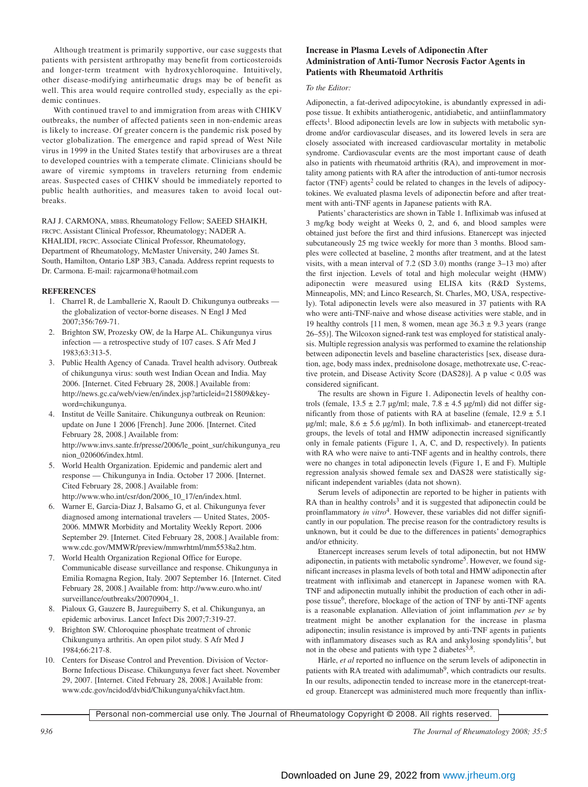Although treatment is primarily supportive, our case suggests that patients with persistent arthropathy may benefit from corticosteroids and longer-term treatment with hydroxychloroquine. Intuitively, other disease-modifying antirheumatic drugs may be of benefit as well. This area would require controlled study, especially as the epidemic continues.

With continued travel to and immigration from areas with CHIKV outbreaks, the number of affected patients seen in non-endemic areas is likely to increase. Of greater concern is the pandemic risk posed by vector globalization. The emergence and rapid spread of West Nile virus in 1999 in the United States testify that arboviruses are a threat to developed countries with a temperate climate. Clinicians should be aware of viremic symptoms in travelers returning from endemic areas. Suspected cases of CHIKV should be immediately reported to public health authorities, and measures taken to avoid local outbreaks.

RAJ J. CARMONA, MBBS, Rheumatology Fellow; SAEED SHAIKH, FRCPC, Assistant Clinical Professor, Rheumatology; NADER A. KHALIDI, FRCPC, Associate Clinical Professor, Rheumatology, Department of Rheumatology, McMaster University, 240 James St. South, Hamilton, Ontario L8P 3B3, Canada. Address reprint requests to Dr. Carmona. E-mail: rajcarmona@hotmail.com

## **REFERENCES**

- 1. Charrel R, de Lamballerie X, Raoult D. Chikungunya outbreaks the globalization of vector-borne diseases. N Engl J Med 2007;356:769-71.
- 2. Brighton SW, Prozesky OW, de la Harpe AL. Chikungunya virus infection — a retrospective study of 107 cases. S Afr Med J 1983;63:313-5.
- 3. Public Health Agency of Canada. Travel health advisory. Outbreak of chikungunya virus: south west Indian Ocean and India. May 2006. [Internet. Cited February 28, 2008.] Available from: http://news.gc.ca/web/view/en/index.jsp?articleid=215809&keyword=chikungunya.
- 4. Institut de Veille Sanitaire. Chikungunya outbreak on Reunion: update on June 1 2006 [French]. June 2006. [Internet. Cited February 28, 2008.] Available from: http://www.invs.sante.fr/presse/2006/le\_point\_sur/chikungunya\_reu nion\_020606/index.html.
- 5. World Health Organization. Epidemic and pandemic alert and response — Chikungunya in India. October 17 2006. [Internet. Cited February 28, 2008.] Available from: http://www.who.int/csr/don/2006\_10\_17/en/index.html.
- 6. Warner E, Garcia-Diaz J, Balsamo G, et al. Chikungunya fever diagnosed among international travelers — United States, 2005- 2006. MMWR Morbidity and Mortality Weekly Report. 2006 September 29. [Internet. Cited February 28, 2008.] Available from: www.cdc.gov/MMWR/preview/mmwrhtml/mm5538a2.htm.
- 7. World Health Organization Regional Office for Europe. Communicable disease surveillance and response. Chikungunya in Emilia Romagna Region, Italy. 2007 September 16. [Internet. Cited February 28, 2008.] Available from: http://www.euro.who.int/ surveillance/outbreaks/20070904\_1.
- 8. Pialoux G, Gauzere B, Jaureguiberry S, et al. Chikungunya, an epidemic arbovirus. Lancet Infect Dis 2007;7:319-27.
- 9. Brighton SW. Chloroquine phosphate treatment of chronic Chikungunya arthritis. An open pilot study. S Afr Med J 1984;66:217-8.
- 10. Centers for Disease Control and Prevention. Division of Vector-Borne Infectious Disease. Chikungunya fever fact sheet. November 29, 2007. [Internet. Cited February 28, 2008.] Available from: www.cdc.gov/ncidod/dvbid/Chikungunya/chikvfact.htm.

## **Increase in Plasma Levels of Adiponectin After Administration of Anti-Tumor Necrosis Factor Agents in Patients with Rheumatoid Arthritis**

#### *To the Editor:*

Adiponectin, a fat-derived adipocytokine, is abundantly expressed in adipose tissue. It exhibits antiatherogenic, antidiabetic, and antiinflammatory  $effects<sup>1</sup>$ . Blood adiponectin levels are low in subjects with metabolic syndrome and/or cardiovascular diseases, and its lowered levels in sera are closely associated with increased cardiovascular mortality in metabolic syndrome. Cardiovascular events are the most important cause of death also in patients with rheumatoid arthritis (RA), and improvement in mortality among patients with RA after the introduction of anti-tumor necrosis factor (TNF) agents<sup>2</sup> could be related to changes in the levels of adipocytokines. We evaluated plasma levels of adiponectin before and after treatment with anti-TNF agents in Japanese patients with RA.

Patients' characteristics are shown in Table 1. Infliximab was infused at 3 mg/kg body weight at Weeks 0, 2, and 6, and blood samples were obtained just before the first and third infusions. Etanercept was injected subcutaneously 25 mg twice weekly for more than 3 months. Blood samples were collected at baseline, 2 months after treatment, and at the latest visits, with a mean interval of 7.2 (SD 3.0) months (range 3–13 mo) after the first injection. Levels of total and high molecular weight (HMW) adiponectin were measured using ELISA kits (R&D Systems, Minneapolis, MN; and Linco Research, St. Charles, MO, USA, respectively). Total adiponectin levels were also measured in 37 patients with RA who were anti-TNF-naive and whose disease activities were stable, and in 19 healthy controls [11 men, 8 women, mean age  $36.3 \pm 9.3$  years (range 26–55)]. The Wilcoxon signed-rank test was employed for statistical analysis. Multiple regression analysis was performed to examine the relationship between adiponectin levels and baseline characteristics [sex, disease duration, age, body mass index, prednisolone dosage, methotrexate use, C-reactive protein, and Disease Activity Score (DAS28)]. A p value < 0.05 was considered significant.

The results are shown in Figure 1. Adiponectin levels of healthy controls (female,  $13.5 \pm 2.7$  µg/ml; male,  $7.8 \pm 4.5$  µg/ml) did not differ significantly from those of patients with RA at baseline (female,  $12.9 \pm 5.1$ )  $\mu$ g/ml; male, 8.6  $\pm$  5.6  $\mu$ g/ml). In both infliximab- and etanercept-treated groups, the levels of total and HMW adiponectin increased significantly only in female patients (Figure 1, A, C, and D, respectively). In patients with RA who were naive to anti-TNF agents and in healthy controls, there were no changes in total adiponectin levels (Figure 1, E and F). Multiple regression analysis showed female sex and DAS28 were statistically significant independent variables (data not shown).

Serum levels of adiponectin are reported to be higher in patients with RA than in healthy controls $3$  and it is suggested that adiponectin could be proinflammatory *in vitro*4. However, these variables did not differ significantly in our population. The precise reason for the contradictory results is unknown, but it could be due to the differences in patients' demographics and/or ethnicity.

Etanercept increases serum levels of total adiponectin, but not HMW adiponectin, in patients with metabolic syndrome<sup>5</sup>. However, we found significant increases in plasma levels of both total and HMW adiponectin after treatment with infliximab and etanercept in Japanese women with RA. TNF and adiponectin mutually inhibit the production of each other in adipose tissue<sup>6</sup>, therefore, blockage of the action of TNF by anti-TNF agents is a reasonable explanation. Alleviation of joint inflammation *per se* by treatment might be another explanation for the increase in plasma adiponectin; insulin resistance is improved by anti-TNF agents in patients with inflammatory diseases such as RA and ankylosing spondylitis<sup>7</sup>, but not in the obese and patients with type 2 diabetes<sup>5,8</sup>.

Härle, *et al* reported no influence on the serum levels of adiponectin in patients with RA treated with adalimumab<sup>9</sup>, which contradicts our results. In our results, adiponectin tended to increase more in the etanercept-treated group. Etanercept was administered much more frequently than inflix-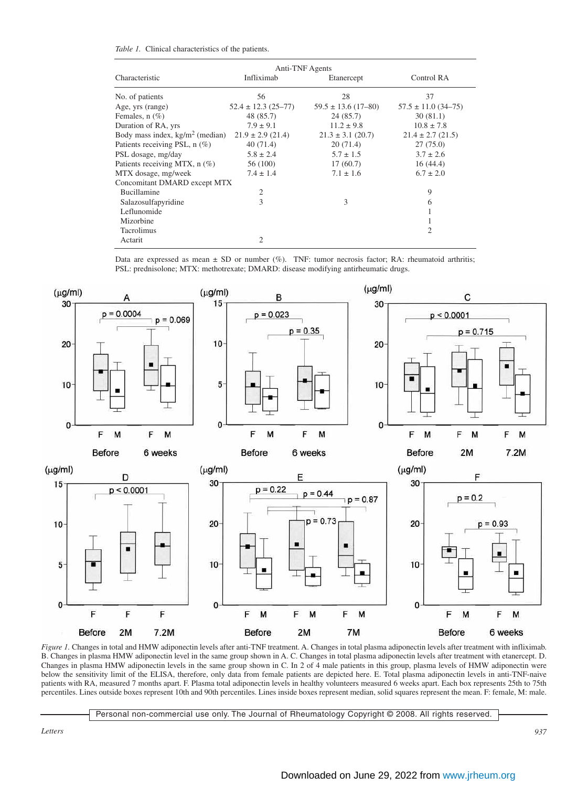|  |  | Table 1. Clinical characteristics of the patients. |  |  |  |
|--|--|----------------------------------------------------|--|--|--|
|--|--|----------------------------------------------------|--|--|--|

| Anti-TNF Agents                           |                         |                         |                         |  |  |  |  |  |
|-------------------------------------------|-------------------------|-------------------------|-------------------------|--|--|--|--|--|
| Characteristic                            | Infliximab              | Etanercept              | Control RA              |  |  |  |  |  |
| No. of patients                           | 56                      | 28                      | 37                      |  |  |  |  |  |
| Age, yrs (range)                          | $52.4 \pm 12.3$ (25-77) | $59.5 \pm 13.6$ (17-80) | $57.5 \pm 11.0$ (34-75) |  |  |  |  |  |
| Females, $n$ $(\%)$                       | 48 (85.7)               | 24(85.7)                | 30(81.1)                |  |  |  |  |  |
| Duration of RA, yrs                       | $7.9 \pm 9.1$           | $11.2 \pm 9.8$          | $10.8 \pm 7.8$          |  |  |  |  |  |
| Body mass index, $\text{kg/m}^2$ (median) | $21.9 \pm 2.9$ (21.4)   | $21.3 \pm 3.1$ (20.7)   | $21.4 \pm 2.7$ (21.5)   |  |  |  |  |  |
| Patients receiving PSL, n (%)             | 40(71.4)                | 20(71.4)                | 27(75.0)                |  |  |  |  |  |
| PSL dosage, mg/day                        | $5.8 \pm 2.4$           | $5.7 \pm 1.5$           | $3.7 \pm 2.6$           |  |  |  |  |  |
| Patients receiving MTX, n (%)             | 56 (100)                | 17(60.7)                | 16(44.4)                |  |  |  |  |  |
| MTX dosage, mg/week                       | $7.4 \pm 1.4$           | $7.1 \pm 1.6$           | $6.7 \pm 2.0$           |  |  |  |  |  |
| Concomitant DMARD except MTX              |                         |                         |                         |  |  |  |  |  |
| Bucillamine                               | $\overline{c}$          |                         | 9                       |  |  |  |  |  |
| Salazosulfapyridine                       | 3                       | 3                       | 6                       |  |  |  |  |  |
| Leflunomide                               |                         |                         |                         |  |  |  |  |  |
| Mizorbine                                 |                         |                         |                         |  |  |  |  |  |
| Tacrolimus                                |                         |                         | 2                       |  |  |  |  |  |
| Actarit                                   | $\overline{2}$          |                         |                         |  |  |  |  |  |

Data are expressed as mean  $\pm$  SD or number (%). TNF: tumor necrosis factor; RA: rheumatoid arthritis; PSL: prednisolone; MTX: methotrexate; DMARD: disease modifying antirheumatic drugs.



*Figure 1.* Changes in total and HMW adiponectin levels after anti-TNF treatment. A. Changes in total plasma adiponectin levels after treatment with infliximab. B. Changes in plasma HMW adiponectin level in the same group shown in A. C. Changes in total plasma adiponectin levels after treatment with etanercept. D. Changes in plasma HMW adiponectin levels in the same group shown in C. In 2 of  $\overline{4}$  male patients in this group, plasma levels of HMW adiponectin were below the sensitivity limit of the ELISA, therefore, only data from female patients are depicted here. E. Total plasma adiponectin levels in anti-TNF-naive patients with RA, measured 7 months apart. F. Plasma total adiponectin levels in healthy volunteers measured 6 weeks apart. Each box represents 25th to 75th percentiles. Lines outside boxes represent 10th and 90th percentiles. Lines inside boxes represent median, solid squares represent the mean. F: female, M: male.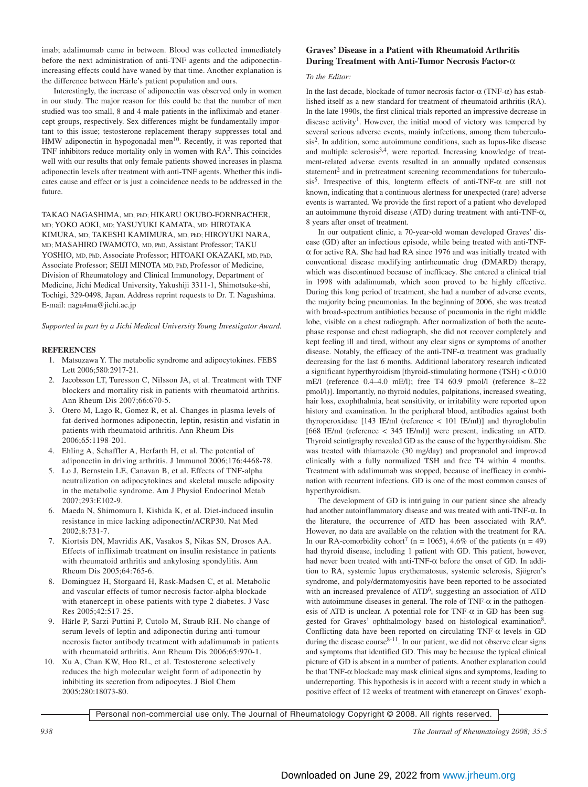imab; adalimumab came in between. Blood was collected immediately before the next administration of anti-TNF agents and the adiponectinincreasing effects could have waned by that time. Another explanation is the difference between Härle's patient population and ours.

Interestingly, the increase of adiponectin was observed only in women in our study. The major reason for this could be that the number of men studied was too small, 8 and 4 male patients in the infliximab and etanercept groups, respectively. Sex differences might be fundamentally important to this issue; testosterone replacement therapy suppresses total and HMW adiponectin in hypogonadal men<sup>10</sup>. Recently, it was reported that TNF inhibitors reduce mortality only in women with RA2. This coincides well with our results that only female patients showed increases in plasma adiponectin levels after treatment with anti-TNF agents. Whether this indicates cause and effect or is just a coincidence needs to be addressed in the future.

TAKAO NAGASHIMA, MD, PhD; HIKARU OKUBO-FORNBACHER, MD; YOKO AOKI, MD; YASUYUKI KAMATA, MD; HIROTAKA KIMURA, MD; TAKESHI KAMIMURA, MD, PhD; HIROYUKI NARA, MD; MASAHIRO IWAMOTO, MD, PhD, Assistant Professor; TAKU YOSHIO, MD, PhD, Associate Professor; HITOAKI OKAZAKI, MD, PhD, Associate Professor; SEIJI MINOTA MD, PhD, Professor of Medicine, Division of Rheumatology and Clinical Immunology, Department of Medicine, Jichi Medical University, Yakushiji 3311-1, Shimotsuke-shi, Tochigi, 329-0498, Japan. Address reprint requests to Dr. T. Nagashima. E-mail: naga4ma@jichi.ac.jp

*Supported in part by a Jichi Medical University Young Investigator Award.*

## **REFERENCES**

- 1. Matsuzawa Y. The metabolic syndrome and adipocytokines. FEBS Lett 2006;580:2917-21.
- 2. Jacobsson LT, Turesson C, Nilsson JA, et al. Treatment with TNF blockers and mortality risk in patients with rheumatoid arthritis. Ann Rheum Dis 2007;66:670-5.
- 3. Otero M, Lago R, Gomez R, et al. Changes in plasma levels of fat-derived hormones adiponectin, leptin, resistin and visfatin in patients with rheumatoid arthritis. Ann Rheum Dis 2006;65:1198-201.
- 4. Ehling A, Schaffler A, Herfarth H, et al. The potential of adiponectin in driving arthritis. J Immunol 2006;176:4468-78.
- 5. Lo J, Bernstein LE, Canavan B, et al. Effects of TNF-alpha neutralization on adipocytokines and skeletal muscle adiposity in the metabolic syndrome. Am J Physiol Endocrinol Metab 2007;293:E102-9.
- 6. Maeda N, Shimomura I, Kishida K, et al. Diet-induced insulin resistance in mice lacking adiponectin/ACRP30. Nat Med 2002;8:731-7.
- 7. Kiortsis DN, Mavridis AK, Vasakos S, Nikas SN, Drosos AA. Effects of infliximab treatment on insulin resistance in patients with rheumatoid arthritis and ankylosing spondylitis. Ann Rheum Dis 2005;64:765-6.
- 8. Dominguez H, Storgaard H, Rask-Madsen C, et al. Metabolic and vascular effects of tumor necrosis factor-alpha blockade with etanercept in obese patients with type 2 diabetes. J Vasc Res 2005;42:517-25.
- 9. Härle P, Sarzi-Puttini P, Cutolo M, Straub RH. No change of serum levels of leptin and adiponectin during anti-tumour necrosis factor antibody treatment with adalimumab in patients with rheumatoid arthritis. Ann Rheum Dis 2006;65:970-1.
- 10. Xu A, Chan KW, Hoo RL, et al. Testosterone selectively reduces the high molecular weight form of adiponectin by inhibiting its secretion from adipocytes. J Biol Chem 2005;280:18073-80.

# **Graves' Disease in a Patient with Rheumatoid Arthritis During Treatment with Anti-Tumor Necrosis Factor-**α

# *To the Editor:*

In the last decade, blockade of tumor necrosis factor-α (TNF-α) has established itself as a new standard for treatment of rheumatoid arthritis (RA). In the late 1990s, the first clinical trials reported an impressive decrease in disease activity<sup>1</sup>. However, the initial mood of victory was tempered by several serious adverse events, mainly infections, among them tuberculosis2. In addition, some autoimmune conditions, such as lupus-like disease and multiple sclerosis<sup>3,4</sup>, were reported. Increasing knowledge of treatment-related adverse events resulted in an annually updated consensus statement<sup>2</sup> and in pretreatment screening recommendations for tuberculosis<sup>5</sup>. Irrespective of this, longterm effects of anti-TNF- $\alpha$  are still not known, indicating that a continuous alertness for unexpected (rare) adverse events is warranted. We provide the first report of a patient who developed an autoimmune thyroid disease (ATD) during treatment with anti-TNF-α, 8 years after onset of treatment.

In our outpatient clinic, a 70-year-old woman developed Graves' disease (GD) after an infectious episode, while being treated with anti-TNFα for active RA. She had had RA since 1976 and was initially treated with conventional disease modifying antirheumatic drug (DMARD) therapy, which was discontinued because of inefficacy. She entered a clinical trial in 1998 with adalimumab, which soon proved to be highly effective. During this long period of treatment, she had a number of adverse events, the majority being pneumonias. In the beginning of 2006, she was treated with broad-spectrum antibiotics because of pneumonia in the right middle lobe, visible on a chest radiograph. After normalization of both the acutephase response and chest radiograph, she did not recover completely and kept feeling ill and tired, without any clear signs or symptoms of another disease. Notably, the efficacy of the anti-TNF- $\alpha$  treatment was gradually decreasing for the last 6 months. Additional laboratory research indicated a significant hyperthyroidism [thyroid-stimulating hormone (TSH) < 0.010 mE/l (reference 0.4–4.0 mE/l); free T4 60.9 pmol/l (reference 8–22 pmol/l)]. Importantly, no thyroid nodules, palpitations, increased sweating, hair loss, exophthalmia, heat sensitivity, or irritability were reported upon history and examination. In the peripheral blood, antibodies against both thyroperoxidase [143 IE/ml (reference < 101 IE/ml)] and thyroglobulin [668 IE/ml (reference < 345 IE/ml)] were present, indicating an ATD. Thyroid scintigraphy revealed GD as the cause of the hyperthyroidism. She was treated with thiamazole (30 mg/day) and propranolol and improved clinically with a fully normalized TSH and free T4 within 4 months. Treatment with adalimumab was stopped, because of inefficacy in combination with recurrent infections. GD is one of the most common causes of hyperthyroidism.

The development of GD is intriguing in our patient since she already had another autoinflammatory disease and was treated with anti-TNF-α. In the literature, the occurrence of ATD has been associated with RA<sup>6</sup>. However, no data are available on the relation with the treatment for RA. In our RA-comorbidity cohort<sup>7</sup> (n = 1065), 4.6% of the patients (n = 49) had thyroid disease, including 1 patient with GD. This patient, however, had never been treated with anti-TNF-α before the onset of GD. In addition to RA, systemic lupus erythematosus, systemic sclerosis, Sjögren's syndrome, and poly/dermatomyositis have been reported to be associated with an increased prevalence of ATD<sup>6</sup>, suggesting an association of ATD with autoimmune diseases in general. The role of TNF- $\alpha$  in the pathogenesis of ATD is unclear. A potential role for TNF- $\alpha$  in GD has been suggested for Graves' ophthalmology based on histological examination<sup>8</sup>. Conflicting data have been reported on circulating TNF-α levels in GD during the disease course<sup>8-11</sup>. In our patient, we did not observe clear signs and symptoms that identified GD. This may be because the typical clinical picture of GD is absent in a number of patients. Another explanation could be that TNF- $\alpha$  blockade may mask clinical signs and symptoms, leading to underreporting. This hypothesis is in accord with a recent study in which a positive effect of 12 weeks of treatment with etanercept on Graves' exoph-

Personal non-commercial use only. The Journal of Rheumatology Copyright © 2008. All rights reserved.

*938 The Journal of Rheumatology 2008; 35:5*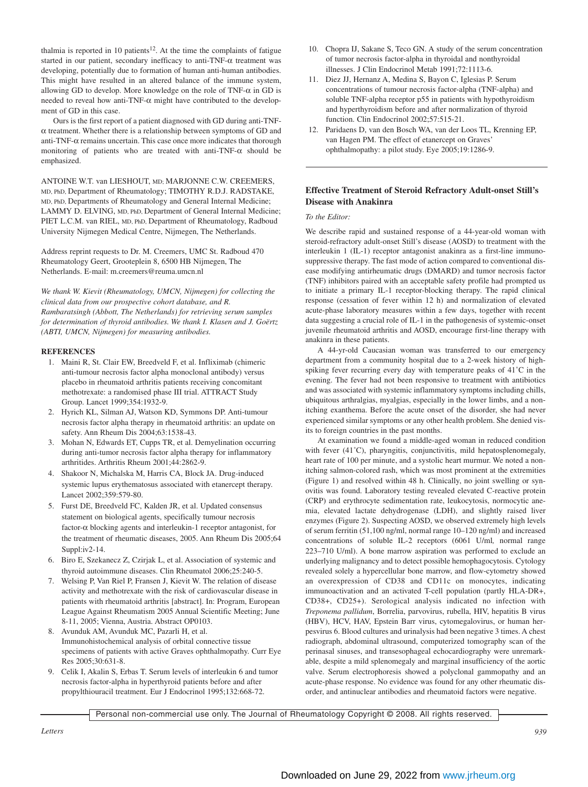thalmia is reported in 10 patients<sup>12</sup>. At the time the complaints of fatigue started in our patient, secondary inefficacy to anti-TNF-α treatment was developing, potentially due to formation of human anti-human antibodies. This might have resulted in an altered balance of the immune system, allowing GD to develop. More knowledge on the role of TNF- $\alpha$  in GD is needed to reveal how anti-TNF-α might have contributed to the development of GD in this case.

Ours is the first report of a patient diagnosed with GD during anti-TNFα treatment. Whether there is a relationship between symptoms of GD and anti-TNF-α remains uncertain. This case once more indicates that thorough monitoring of patients who are treated with anti-TNF-α should be emphasized.

ANTOINE W.T. van LIESHOUT, MD; MARJONNE C.W. CREEMERS, MD, PhD, Department of Rheumatology; TIMOTHY R.D.J. RADSTAKE, MD, PhD, Departments of Rheumatology and General Internal Medicine; LAMMY D. ELVING, MD, PhD, Department of General Internal Medicine; PIET L.C.M. van RIEL, MD, PhD, Department of Rheumatology, Radboud University Nijmegen Medical Centre, Nijmegen, The Netherlands.

Address reprint requests to Dr. M. Creemers, UMC St. Radboud 470 Rheumatology Geert, Grooteplein 8, 6500 HB Nijmegen, The Netherlands. E-mail: m.creemers@reuma.umcn.nl

*We thank W. Kievit (Rheumatology, UMCN, Nijmegen) for collecting the clinical data from our prospective cohort database, and R. Rambaratsingh (Abbott, The Netherlands) for retrieving serum samples for determination of thyroid antibodies. We thank I. Klasen and J. Goërtz (ABTI, UMCN, Nijmegen) for measuring antibodies.*

## **REFERENCES**

- 1. Maini R, St. Clair EW, Breedveld F, et al. Infliximab (chimeric anti-tumour necrosis factor alpha monoclonal antibody) versus placebo in rheumatoid arthritis patients receiving concomitant methotrexate: a randomised phase III trial. ATTRACT Study Group. Lancet 1999;354:1932-9.
- 2. Hyrich KL, Silman AJ, Watson KD, Symmons DP. Anti-tumour necrosis factor alpha therapy in rheumatoid arthritis: an update on safety. Ann Rheum Dis 2004;63:1538-43.
- 3. Mohan N, Edwards ET, Cupps TR, et al. Demyelination occurring during anti-tumor necrosis factor alpha therapy for inflammatory arthritides. Arthritis Rheum 2001;44:2862-9.
- 4. Shakoor N, Michalska M, Harris CA, Block JA. Drug-induced systemic lupus erythematosus associated with etanercept therapy. Lancet 2002;359:579-80.
- 5. Furst DE, Breedveld FC, Kalden JR, et al. Updated consensus statement on biological agents, specifically tumour necrosis factor-α blocking agents and interleukin-1 receptor antagonist, for the treatment of rheumatic diseases, 2005. Ann Rheum Dis 2005;64 Suppl:iv2-14.
- 6. Biro E, Szekanecz Z, Czirjak L, et al. Association of systemic and thyroid autoimmune diseases. Clin Rheumatol 2006;25:240-5.
- 7. Welsing P, Van Riel P, Fransen J, Kievit W. The relation of disease activity and methotrexate with the risk of cardiovascular disease in patients with rheumatoid arthritis [abstract]. In: Program, European League Against Rheumatism 2005 Annual Scientific Meeting; June 8-11, 2005; Vienna, Austria. Abstract OP0103.
- 8. Avunduk AM, Avunduk MC, Pazarli H, et al. Immunohistochemical analysis of orbital connective tissue specimens of patients with active Graves ophthalmopathy. Curr Eye Res 2005;30:631-8.
- 9. Celik I, Akalin S, Erbas T. Serum levels of interleukin 6 and tumor necrosis factor-alpha in hyperthyroid patients before and after propylthiouracil treatment. Eur J Endocrinol 1995;132:668-72.
- 10. Chopra IJ, Sakane S, Teco GN. A study of the serum concentration of tumor necrosis factor-alpha in thyroidal and nonthyroidal illnesses. J Clin Endocrinol Metab 1991;72:1113-6.
- 11. Diez JJ, Hernanz A, Medina S, Bayon C, Iglesias P. Serum concentrations of tumour necrosis factor-alpha (TNF-alpha) and soluble TNF-alpha receptor p55 in patients with hypothyroidism and hyperthyroidism before and after normalization of thyroid function. Clin Endocrinol 2002;57:515-21.
- 12. Paridaens D, van den Bosch WA, van der Loos TL, Krenning EP, van Hagen PM. The effect of etanercept on Graves' ophthalmopathy: a pilot study. Eye 2005;19:1286-9.

## **Effective Treatment of Steroid Refractory Adult-onset Still's Disease with Anakinra**

#### *To the Editor:*

We describe rapid and sustained response of a 44-year-old woman with steroid-refractory adult-onset Still's disease (AOSD) to treatment with the interleukin 1 (IL-1) receptor antagonist anakinra as a first-line immunosuppressive therapy. The fast mode of action compared to conventional disease modifying antirheumatic drugs (DMARD) and tumor necrosis factor (TNF) inhibitors paired with an acceptable safety profile had prompted us to initiate a primary IL-1 receptor-blocking therapy. The rapid clinical response (cessation of fever within 12 h) and normalization of elevated acute-phase laboratory measures within a few days, together with recent data suggesting a crucial role of IL-1 in the pathogenesis of systemic-onset juvenile rheumatoid arthritis and AOSD, encourage first-line therapy with anakinra in these patients.

A 44-yr-old Caucasian woman was transferred to our emergency department from a community hospital due to a 2-week history of highspiking fever recurring every day with temperature peaks of 41˚C in the evening. The fever had not been responsive to treatment with antibiotics and was associated with systemic inflammatory symptoms including chills, ubiquitous arthralgias, myalgias, especially in the lower limbs, and a nonitching exanthema. Before the acute onset of the disorder, she had never experienced similar symptoms or any other health problem. She denied visits to foreign countries in the past months.

At examination we found a middle-aged woman in reduced condition with fever (41°C), pharyngitis, conjunctivitis, mild hepatosplenomegaly, heart rate of 100 per minute, and a systolic heart murmur. We noted a nonitching salmon-colored rash, which was most prominent at the extremities (Figure 1) and resolved within 48 h. Clinically, no joint swelling or synovitis was found. Laboratory testing revealed elevated C-reactive protein (CRP) and erythrocyte sedimentation rate, leukocytosis, normocytic anemia, elevated lactate dehydrogenase (LDH), and slightly raised liver enzymes (Figure 2). Suspecting AOSD, we observed extremely high levels of serum ferritin (51,100 ng/ml, normal range 10–120 ng/ml) and increased concentrations of soluble IL-2 receptors (6061 U/ml*,* normal range 223–710 U/ml). A bone marrow aspiration was performed to exclude an underlying malignancy and to detect possible hemophagocytosis. Cytology revealed solely a hypercellular bone marrow, and flow-cytometry showed an overexpression of CD38 and CD11c on monocytes, indicating immunoactivation and an activated T-cell population (partly HLA-DR+, CD38+, CD25+). Serological analysis indicated no infection with *Treponema pallidum*, Borrelia, parvovirus, rubella, HIV, hepatitis B virus (HBV), HCV, HAV, Epstein Barr virus, cytomegalovirus, or human herpesvirus 6. Blood cultures and urinalysis had been negative 3 times. A chest radiograph, abdominal ultrasound, computerized tomography scan of the perinasal sinuses, and transesophageal echocardiography were unremarkable, despite a mild splenomegaly and marginal insufficiency of the aortic valve. Serum electrophoresis showed a polyclonal gammopathy and an acute-phase response. No evidence was found for any other rheumatic disorder, and antinuclear antibodies and rheumatoid factors were negative.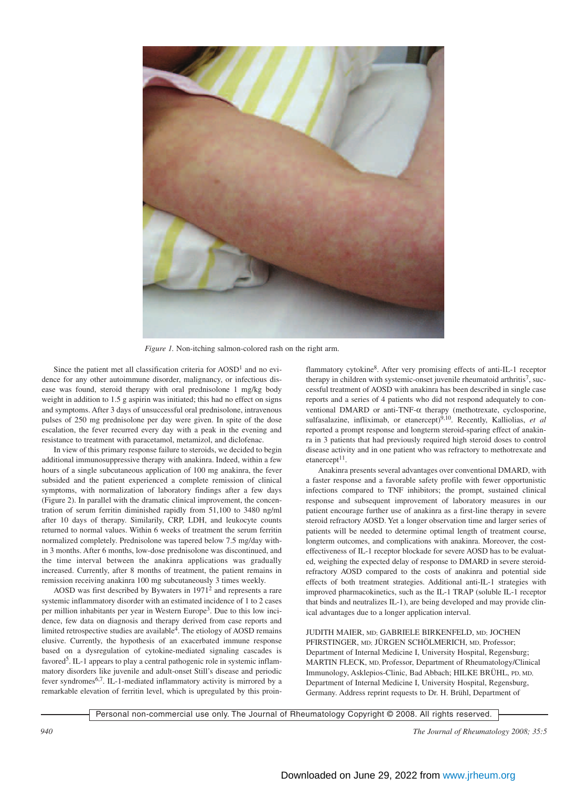

*Figure 1.* Non-itching salmon-colored rash on the right arm.

Since the patient met all classification criteria for  $AOSD<sup>1</sup>$  and no evidence for any other autoimmune disorder, malignancy, or infectious disease was found, steroid therapy with oral prednisolone 1 mg/kg body weight in addition to 1.5 g aspirin was initiated; this had no effect on signs and symptoms. After 3 days of unsuccessful oral prednisolone, intravenous pulses of 250 mg prednisolone per day were given. In spite of the dose escalation, the fever recurred every day with a peak in the evening and resistance to treatment with paracetamol, metamizol, and diclofenac.

In view of this primary response failure to steroids, we decided to begin additional immunosuppressive therapy with anakinra. Indeed, within a few hours of a single subcutaneous application of 100 mg anakinra, the fever subsided and the patient experienced a complete remission of clinical symptoms, with normalization of laboratory findings after a few days (Figure 2). In parallel with the dramatic clinical improvement, the concentration of serum ferritin diminished rapidly from 51,100 to 3480 ng/ml after 10 days of therapy. Similarily, CRP, LDH, and leukocyte counts returned to normal values. Within 6 weeks of treatment the serum ferritin normalized completely. Prednisolone was tapered below 7.5 mg/day within 3 months. After 6 months, low-dose prednisolone was discontinued, and the time interval between the anakinra applications was gradually increased. Currently, after 8 months of treatment, the patient remains in remission receiving anakinra 100 mg subcutaneously 3 times weekly.

AOSD was first described by Bywaters in 19712 and represents a rare systemic inflammatory disorder with an estimated incidence of 1 to 2 cases per million inhabitants per year in Western Europe<sup>3</sup>. Due to this low incidence, few data on diagnosis and therapy derived from case reports and limited retrospective studies are available<sup>4</sup>. The etiology of AOSD remains elusive. Currently, the hypothesis of an exacerbated immune response based on a dysregulation of cytokine-mediated signaling cascades is favored<sup>5</sup>. IL-1 appears to play a central pathogenic role in systemic inflammatory disorders like juvenile and adult-onset Still's disease and periodic fever syndromes6,7. IL-1-mediated inflammatory activity is mirrored by a remarkable elevation of ferritin level, which is upregulated by this proinflammatory cytokine8. After very promising effects of anti-IL-1 receptor therapy in children with systemic-onset juvenile rheumatoid arthritis<sup>7</sup>, successful treatment of AOSD with anakinra has been described in single case reports and a series of 4 patients who did not respond adequately to conventional DMARD or anti-TNF-α therapy (methotrexate, cyclosporine, sulfasalazine, infliximab, or etanercept)<sup>9,10</sup>. Recently, Kalliolias, et al reported a prompt response and longterm steroid-sparing effect of anakinra in 3 patients that had previously required high steroid doses to control disease activity and in one patient who was refractory to methotrexate and  $etanerept<sup>11</sup>$ .

Anakinra presents several advantages over conventional DMARD, with a faster response and a favorable safety profile with fewer opportunistic infections compared to TNF inhibitors; the prompt, sustained clinical response and subsequent improvement of laboratory measures in our patient encourage further use of anakinra as a first-line therapy in severe steroid refractory AOSD. Yet a longer observation time and larger series of patients will be needed to determine optimal length of treatment course, longterm outcomes, and complications with anakinra. Moreover, the costeffectiveness of IL-1 receptor blockade for severe AOSD has to be evaluated, weighing the expected delay of response to DMARD in severe steroidrefractory AOSD compared to the costs of anakinra and potential side effects of both treatment strategies. Additional anti-IL-1 strategies with improved pharmacokinetics, such as the IL-1 TRAP (soluble IL-1 receptor that binds and neutralizes IL-1), are being developed and may provide clinical advantages due to a longer application interval.

JUDITH MAIER, MD; GABRIELE BIRKENFELD, MD; JOCHEN PFIRSTINGER, MD; JÜRGEN SCHÖLMERICH, MD, Professor; Department of Internal Medicine I, University Hospital, Regensburg; MARTIN FLECK, MD, Professor, Department of Rheumatology/Clinical Immunology, Asklepios-Clinic, Bad Abbach; HILKE BRÜHL, PD, MD, Department of Internal Medicine I, University Hospital, Regensburg, Germany. Address reprint requests to Dr. H. Brühl, Department of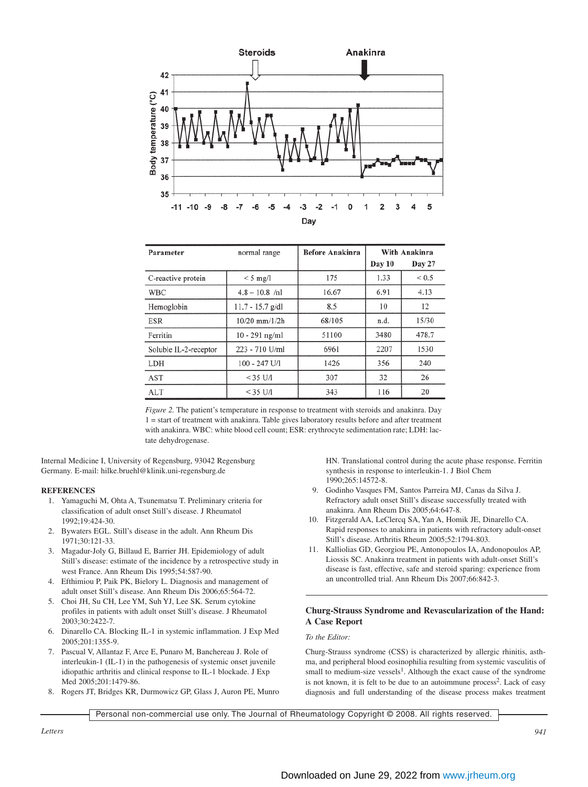

| Parameter             | normal range       | <b>Before Anakinra</b> | With Anakinra |            |
|-----------------------|--------------------|------------------------|---------------|------------|
|                       |                    |                        | Day 10        | Day 27     |
| C-reactive protein    | $<$ 5 mg/l         | 175                    | 1.33          | ${}_{0.5}$ |
| <b>WBC</b>            | $4.8 - 10.8$ /nl   | 16.67                  | 6.91          | 4.13       |
| Hemoglobin            | $11.7 - 15.7$ g/dl | 8.5                    | 10            | 12         |
| <b>ESR</b>            | $10/20$ mm/ $1/2h$ | 68/105                 | n.d.          | 15/30      |
| Ferritin              | $10 - 291$ ng/ml   | 51100                  | 3480          | 478.7      |
| Soluble IL-2-receptor | 223 - 710 U/ml     | 6961                   | 2207          | 1530       |
| LDH                   | $100 - 247$ U/I    | 1426                   | 356           | 240        |
| AST                   | $<$ 35 U/I         | 307                    | 32            | 26         |
| <b>ALT</b>            | $<$ 35 U/I         | 343                    | 116           | 20         |

*Figure 2.* The patient's temperature in response to treatment with steroids and anakinra. Day 1 = start of treatment with anakinra. Table gives laboratory results before and after treatment with anakinra. WBC: white blood cell count; ESR: erythrocyte sedimentation rate; LDH: lactate dehydrogenase.

Internal Medicine I, University of Regensburg, 93042 Regensburg Germany. E-mail: hilke.bruehl@klinik.uni-regensburg.de

## **REFERENCES**

- 1. Yamaguchi M, Ohta A, Tsunematsu T. Preliminary criteria for classification of adult onset Still's disease. J Rheumatol 1992;19:424-30.
- 2. Bywaters EGL. Still's disease in the adult. Ann Rheum Dis 1971;30:121-33.
- 3. Magadur-Joly G, Billaud E, Barrier JH. Epidemiology of adult Still's disease: estimate of the incidence by a retrospective study in west France. Ann Rheum Dis 1995;54:587-90.
- 4. Efthimiou P, Paik PK, Bielory L. Diagnosis and management of adult onset Still's disease. Ann Rheum Dis 2006;65:564-72.
- 5. Choi JH, Su CH, Lee YM, Suh YJ, Lee SK. Serum cytokine profiles in patients with adult onset Still's disease. J Rheumatol 2003;30:2422-7.
- 6. Dinarello CA. Blocking IL-1 in systemic inflammation. J Exp Med 2005;201:1355-9.
- 7. Pascual V, Allantaz F, Arce E, Punaro M, Banchereau J. Role of interleukin-1 (IL-1) in the pathogenesis of systemic onset juvenile idiopathic arthritis and clinical response to IL-1 blockade. J Exp Med 2005;201:1479-86.
- 8. Rogers JT, Bridges KR, Durmowicz GP, Glass J, Auron PE, Munro

HN. Translational control during the acute phase response. Ferritin synthesis in response to interleukin-1. J Biol Chem 1990;265:14572-8.

- 9. Godinho Vasques FM, Santos Parreira MJ, Canas da Silva J. Refractory adult onset Still's disease successfully treated with anakinra. Ann Rheum Dis 2005;64:647-8.
- 10. Fitzgerald AA, LeClercq SA, Yan A, Homik JE, Dinarello CA. Rapid responses to anakinra in patients with refractory adult-onset Still's disease. Arthritis Rheum 2005;52:1794-803.
- 11. Kalliolias GD, Georgiou PE, Antonopoulos IA, Andonopoulos AP, Liossis SC. Anakinra treatment in patients with adult-onset Still's disease is fast, effective, safe and steroid sparing: experience from an uncontrolled trial. Ann Rheum Dis 2007;66:842-3.

# **Churg-Strauss Syndrome and Revascularization of the Hand: A Case Report**

# *To the Editor:*

Churg-Strauss syndrome (CSS) is characterized by allergic rhinitis, asthma, and peripheral blood eosinophilia resulting from systemic vasculitis of small to medium-size vessels<sup>1</sup>. Although the exact cause of the syndrome is not known, it is felt to be due to an autoimmune process<sup>2</sup>. Lack of easy diagnosis and full understanding of the disease process makes treatment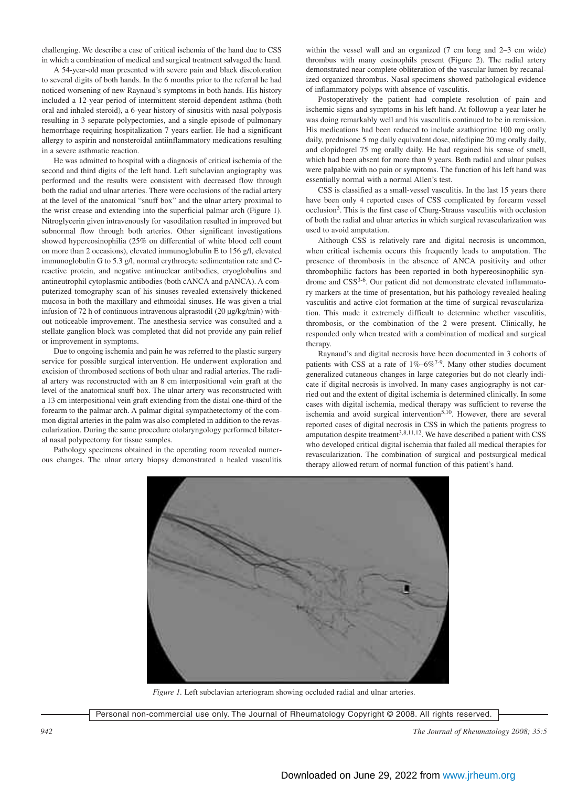challenging. We describe a case of critical ischemia of the hand due to CSS in which a combination of medical and surgical treatment salvaged the hand.

A 54-year-old man presented with severe pain and black discoloration to several digits of both hands. In the 6 months prior to the referral he had noticed worsening of new Raynaud's symptoms in both hands. His history included a 12-year period of intermittent steroid-dependent asthma (both oral and inhaled steroid), a 6-year history of sinusitis with nasal polyposis resulting in 3 separate polypectomies, and a single episode of pulmonary hemorrhage requiring hospitalization 7 years earlier. He had a significant allergy to aspirin and nonsteroidal antiinflammatory medications resulting in a severe asthmatic reaction.

He was admitted to hospital with a diagnosis of critical ischemia of the second and third digits of the left hand. Left subclavian angiography was performed and the results were consistent with decreased flow through both the radial and ulnar arteries. There were occlusions of the radial artery at the level of the anatomical "snuff box" and the ulnar artery proximal to the wrist crease and extending into the superficial palmar arch (Figure 1). Nitroglycerin given intravenously for vasodilation resulted in improved but subnormal flow through both arteries. Other significant investigations showed hypereosinophilia (25% on differential of white blood cell count on more than 2 occasions), elevated immunoglobulin E to 156 g/l, elevated immunoglobulin G to 5.3 g/l, normal erythrocyte sedimentation rate and Creactive protein, and negative antinuclear antibodies, cryoglobulins and antineutrophil cytoplasmic antibodies (both cANCA and pANCA). A computerized tomography scan of his sinuses revealed extensively thickened mucosa in both the maxillary and ethmoidal sinuses. He was given a trial infusion of 72 h of continuous intravenous alprastodil (20 µg/kg/min) without noticeable improvement. The anesthesia service was consulted and a stellate ganglion block was completed that did not provide any pain relief or improvement in symptoms.

Due to ongoing ischemia and pain he was referred to the plastic surgery service for possible surgical intervention. He underwent exploration and excision of thrombosed sections of both ulnar and radial arteries. The radial artery was reconstructed with an 8 cm interpositional vein graft at the level of the anatomical snuff box. The ulnar artery was reconstructed with a 13 cm interpositional vein graft extending from the distal one-third of the forearm to the palmar arch. A palmar digital sympathetectomy of the common digital arteries in the palm was also completed in addition to the revascularization. During the same procedure otolaryngology performed bilateral nasal polypectomy for tissue samples.

Pathology specimens obtained in the operating room revealed numerous changes. The ulnar artery biopsy demonstrated a healed vasculitis within the vessel wall and an organized (7 cm long and 2–3 cm wide) thrombus with many eosinophils present (Figure 2). The radial artery demonstrated near complete obliteration of the vascular lumen by recanalized organized thrombus. Nasal specimens showed pathological evidence of inflammatory polyps with absence of vasculitis.

Postoperatively the patient had complete resolution of pain and ischemic signs and symptoms in his left hand. At followup a year later he was doing remarkably well and his vasculitis continued to be in remission. His medications had been reduced to include azathioprine 100 mg orally daily, prednisone 5 mg daily equivalent dose, nifedipine 20 mg orally daily, and clopidogrel 75 mg orally daily. He had regained his sense of smell, which had been absent for more than 9 years. Both radial and ulnar pulses were palpable with no pain or symptoms. The function of his left hand was essentially normal with a normal Allen's test.

CSS is classified as a small-vessel vasculitis. In the last 15 years there have been only 4 reported cases of CSS complicated by forearm vessel occlusion3. This is the first case of Churg-Strauss vasculitis with occlusion of both the radial and ulnar arteries in which surgical revascularization was used to avoid amputation.

Although CSS is relatively rare and digital necrosis is uncommon, when critical ischemia occurs this frequently leads to amputation. The presence of thrombosis in the absence of ANCA positivity and other thrombophilic factors has been reported in both hypereosinophilic syndrome and CSS<sup>3-6</sup>. Our patient did not demonstrate elevated inflammatory markers at the time of presentation, but his pathology revealed healing vasculitis and active clot formation at the time of surgical revascularization. This made it extremely difficult to determine whether vasculitis, thrombosis, or the combination of the 2 were present. Clinically, he responded only when treated with a combination of medical and surgical therapy.

Raynaud's and digital necrosis have been documented in 3 cohorts of patients with CSS at a rate of  $1\% -6\%$ <sup>7-9</sup>. Many other studies document generalized cutaneous changes in large categories but do not clearly indicate if digital necrosis is involved. In many cases angiography is not carried out and the extent of digital ischemia is determined clinically. In some cases with digital ischemia, medical therapy was sufficient to reverse the ischemia and avoid surgical intervention<sup>5,10</sup>. However, there are several reported cases of digital necrosis in CSS in which the patients progress to amputation despite treatment<sup>3,8,11,12</sup>. We have described a patient with CSS who developed critical digital ischemia that failed all medical therapies for revascularization. The combination of surgical and postsurgical medical therapy allowed return of normal function of this patient's hand.



*Figure 1.* Left subclavian arteriogram showing occluded radial and ulnar arteries.

*<sup>942</sup> The Journal of Rheumatology 2008; 35:5*